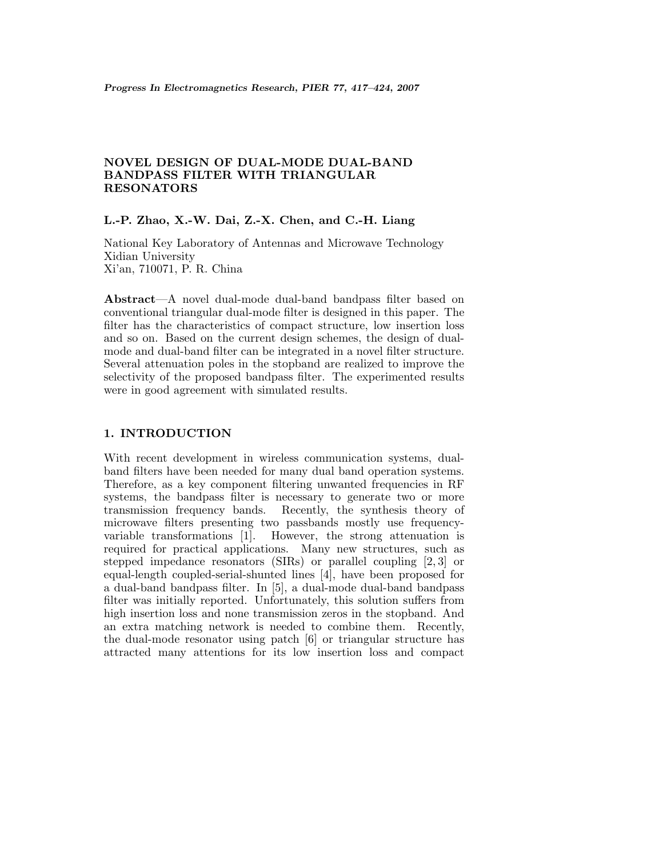# **NOVEL DESIGN OF DUAL-MODE DUAL-BAND BANDPASS FILTER WITH TRIANGULAR RESONATORS**

## **L.-P. Zhao, X.-W. Dai, Z.-X. Chen, and C.-H. Liang**

National Key Laboratory of Antennas and Microwave Technology Xidian University Xi'an, 710071, P. R. China

**Abstract**—A novel dual-mode dual-band bandpass filter based on conventional triangular dual-mode filter is designed in this paper. The filter has the characteristics of compact structure, low insertion loss and so on. Based on the current design schemes, the design of dualmode and dual-band filter can be integrated in a novel filter structure. Several attenuation poles in the stopband are realized to improve the selectivity of the proposed bandpass filter. The experimented results were in good agreement with simulated results.

### **1. INTRODUCTION**

With recent development in wireless communication systems, dualband filters have been needed for many dual band operation systems. Therefore, as a key component filtering unwanted frequencies in RF systems, the bandpass filter is necessary to generate two or more transmission frequency bands. Recently, the synthesis theory of microwave filters presenting two passbands mostly use frequencyvariable transformations [1]. However, the strong attenuation is required for practical applications. Many new structures, such as stepped impedance resonators (SIRs) or parallel coupling [2, 3] or equal-length coupled-serial-shunted lines [4], have been proposed for a dual-band bandpass filter. In [5], a dual-mode dual-band bandpass filter was initially reported. Unfortunately, this solution suffers from high insertion loss and none transmission zeros in the stopband. And an extra matching network is needed to combine them. Recently, the dual-mode resonator using patch [6] or triangular structure has attracted many attentions for its low insertion loss and compact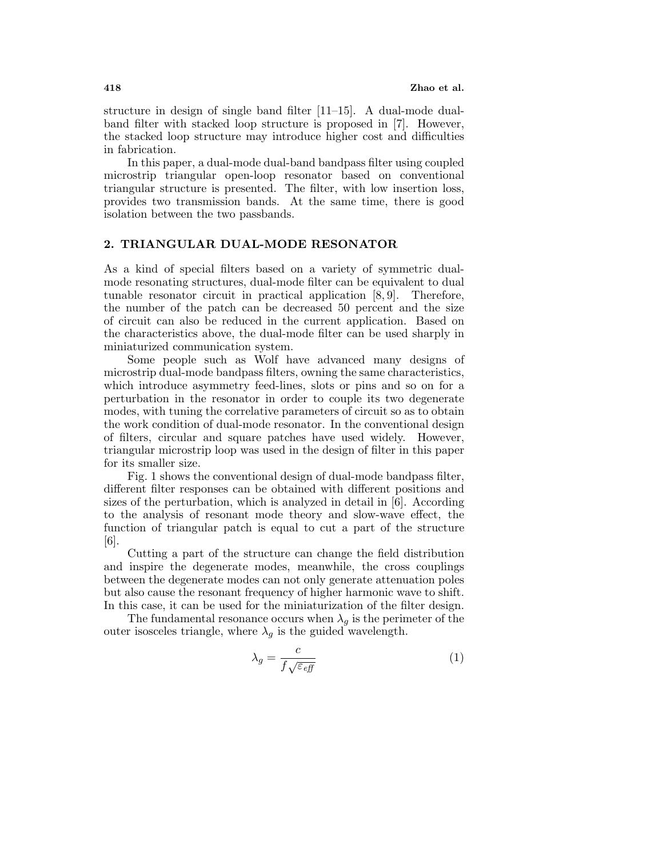structure in design of single band filter [11–15]. A dual-mode dualband filter with stacked loop structure is proposed in [7]. However, the stacked loop structure may introduce higher cost and difficulties in fabrication.

In this paper, a dual-mode dual-band bandpass filter using coupled microstrip triangular open-loop resonator based on conventional triangular structure is presented. The filter, with low insertion loss, provides two transmission bands. At the same time, there is good isolation between the two passbands.

## **2. TRIANGULAR DUAL-MODE RESONATOR**

As a kind of special filters based on a variety of symmetric dualmode resonating structures, dual-mode filter can be equivalent to dual tunable resonator circuit in practical application [8, 9]. Therefore, the number of the patch can be decreased 50 percent and the size of circuit can also be reduced in the current application. Based on the characteristics above, the dual-mode filter can be used sharply in miniaturized communication system.

Some people such as Wolf have advanced many designs of microstrip dual-mode bandpass filters, owning the same characteristics, which introduce asymmetry feed-lines, slots or pins and so on for a perturbation in the resonator in order to couple its two degenerate modes, with tuning the correlative parameters of circuit so as to obtain the work condition of dual-mode resonator. In the conventional design of filters, circular and square patches have used widely. However, triangular microstrip loop was used in the design of filter in this paper for its smaller size.

Fig. 1 shows the conventional design of dual-mode bandpass filter, different filter responses can be obtained with different positions and sizes of the perturbation, which is analyzed in detail in [6]. According to the analysis of resonant mode theory and slow-wave effect, the function of triangular patch is equal to cut a part of the structure [6].

Cutting a part of the structure can change the field distribution and inspire the degenerate modes, meanwhile, the cross couplings between the degenerate modes can not only generate attenuation poles but also cause the resonant frequency of higher harmonic wave to shift. In this case, it can be used for the miniaturization of the filter design.

The fundamental resonance occurs when  $\lambda_q$  is the perimeter of the outer isosceles triangle, where  $\lambda_g$  is the guided wavelength.

$$
\lambda_g = \frac{c}{f\sqrt{\varepsilon_{\text{eff}}}}\tag{1}
$$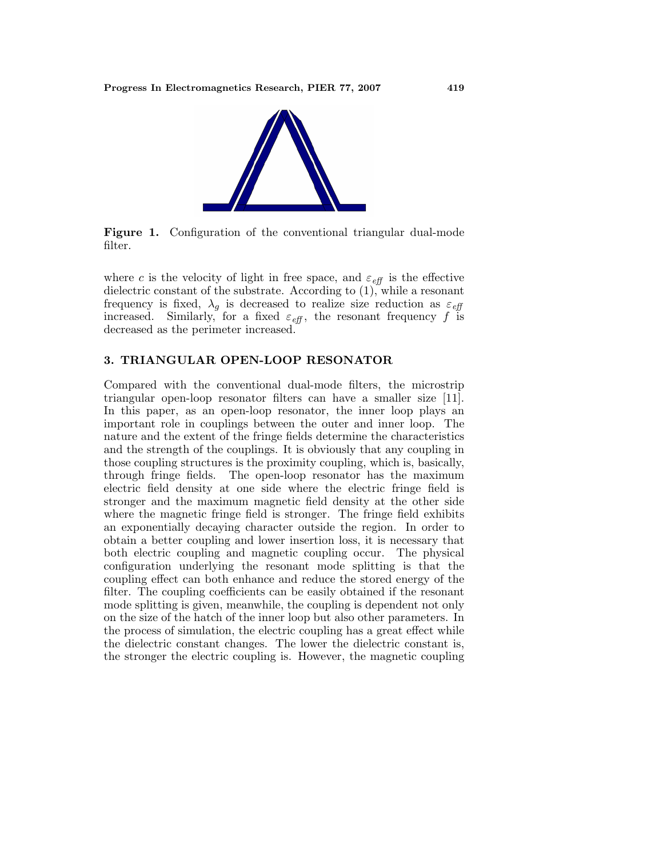

**Figure 1.** Configuration of the conventional triangular dual-mode filter.

where c is the velocity of light in free space, and  $\varepsilon_{\text{eff}}$  is the effective dielectric constant of the substrate. According to (1), while a resonant frequency is fixed,  $\lambda_g$  is decreased to realize size reduction as  $\varepsilon_{\text{eff}}$ increased. Similarly, for a fixed  $\varepsilon_{\text{eff}}$ , the resonant frequency f is decreased as the perimeter increased.

## **3. TRIANGULAR OPEN-LOOP RESONATOR**

Compared with the conventional dual-mode filters, the microstrip triangular open-loop resonator filters can have a smaller size [11]. In this paper, as an open-loop resonator, the inner loop plays an important role in couplings between the outer and inner loop. The nature and the extent of the fringe fields determine the characteristics and the strength of the couplings. It is obviously that any coupling in those coupling structures is the proximity coupling, which is, basically, through fringe fields. The open-loop resonator has the maximum electric field density at one side where the electric fringe field is stronger and the maximum magnetic field density at the other side where the magnetic fringe field is stronger. The fringe field exhibits an exponentially decaying character outside the region. In order to obtain a better coupling and lower insertion loss, it is necessary that both electric coupling and magnetic coupling occur. The physical configuration underlying the resonant mode splitting is that the coupling effect can both enhance and reduce the stored energy of the filter. The coupling coefficients can be easily obtained if the resonant mode splitting is given, meanwhile, the coupling is dependent not only on the size of the hatch of the inner loop but also other parameters. In the process of simulation, the electric coupling has a great effect while the dielectric constant changes. The lower the dielectric constant is, the stronger the electric coupling is. However, the magnetic coupling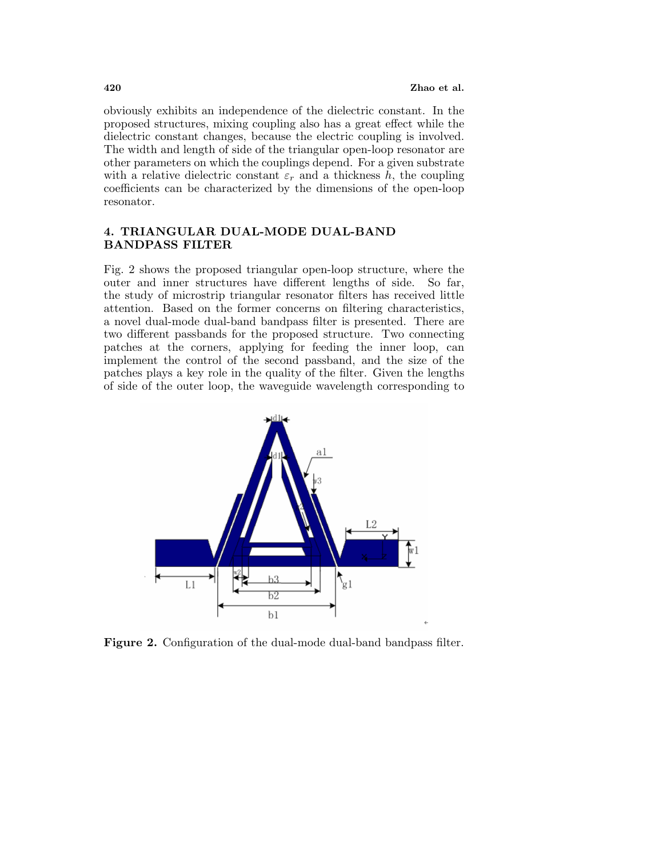obviously exhibits an independence of the dielectric constant. In the proposed structures, mixing coupling also has a great effect while the dielectric constant changes, because the electric coupling is involved. The width and length of side of the triangular open-loop resonator are other parameters on which the couplings depend. For a given substrate with a relative dielectric constant  $\varepsilon_r$  and a thickness h, the coupling coefficients can be characterized by the dimensions of the open-loop resonator.

# **4. TRIANGULAR DUAL-MODE DUAL-BAND BANDPASS FILTER**

Fig. 2 shows the proposed triangular open-loop structure, where the outer and inner structures have different lengths of side. So far, the study of microstrip triangular resonator filters has received little attention. Based on the former concerns on filtering characteristics, a novel dual-mode dual-band bandpass filter is presented. There are two different passbands for the proposed structure. Two connecting patches at the corners, applying for feeding the inner loop, can implement the control of the second passband, and the size of the patches plays a key role in the quality of the filter. Given the lengths of side of the outer loop, the waveguide wavelength corresponding to



**Figure 2.** Configuration of the dual-mode dual-band bandpass filter.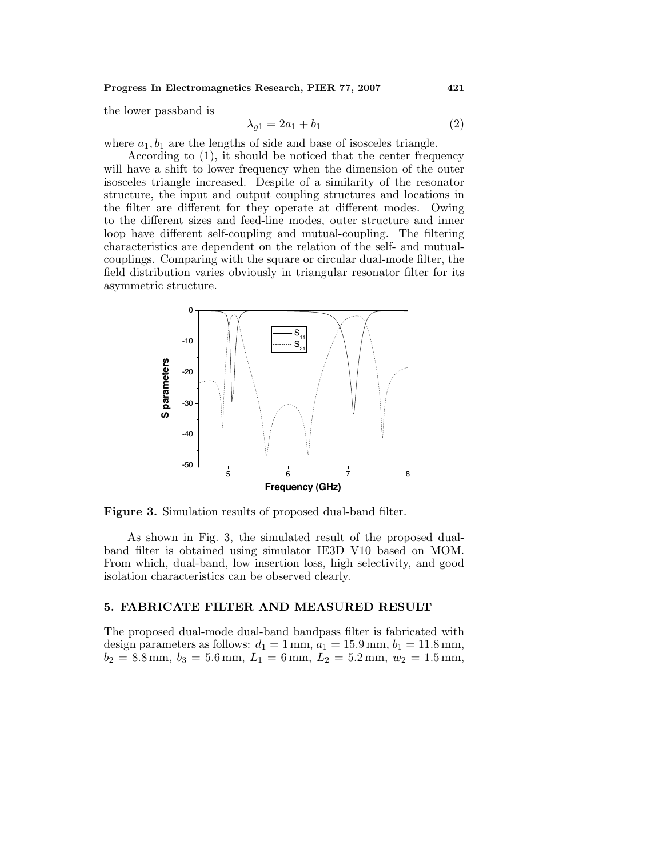#### **Progress In Electromagnetics Research, PIER 77, 2007 421**

the lower passband is

$$
\lambda_{g1} = 2a_1 + b_1 \tag{2}
$$

where  $a_1, b_1$  are the lengths of side and base of isosceles triangle.

According to (1), it should be noticed that the center frequency will have a shift to lower frequency when the dimension of the outer isosceles triangle increased. Despite of a similarity of the resonator structure, the input and output coupling structures and locations in the filter are different for they operate at different modes. Owing to the different sizes and feed-line modes, outer structure and inner loop have different self-coupling and mutual-coupling. The filtering characteristics are dependent on the relation of the self- and mutualcouplings. Comparing with the square or circular dual-mode filter, the field distribution varies obviously in triangular resonator filter for its asymmetric structure.



**Figure 3.** Simulation results of proposed dual-band filter.

As shown in Fig. 3, the simulated result of the proposed dualband filter is obtained using simulator IE3D V10 based on MOM. From which, dual-band, low insertion loss, high selectivity, and good isolation characteristics can be observed clearly.

### **5. FABRICATE FILTER AND MEASURED RESULT**

The proposed dual-mode dual-band bandpass filter is fabricated with design parameters as follows:  $d_1 = 1 \text{ mm}, a_1 = 15.9 \text{ mm}, b_1 = 11.8 \text{ mm},$  $b_2 = 8.8$  mm,  $b_3 = 5.6$  mm,  $L_1 = 6$  mm,  $L_2 = 5.2$  mm,  $w_2 = 1.5$  mm,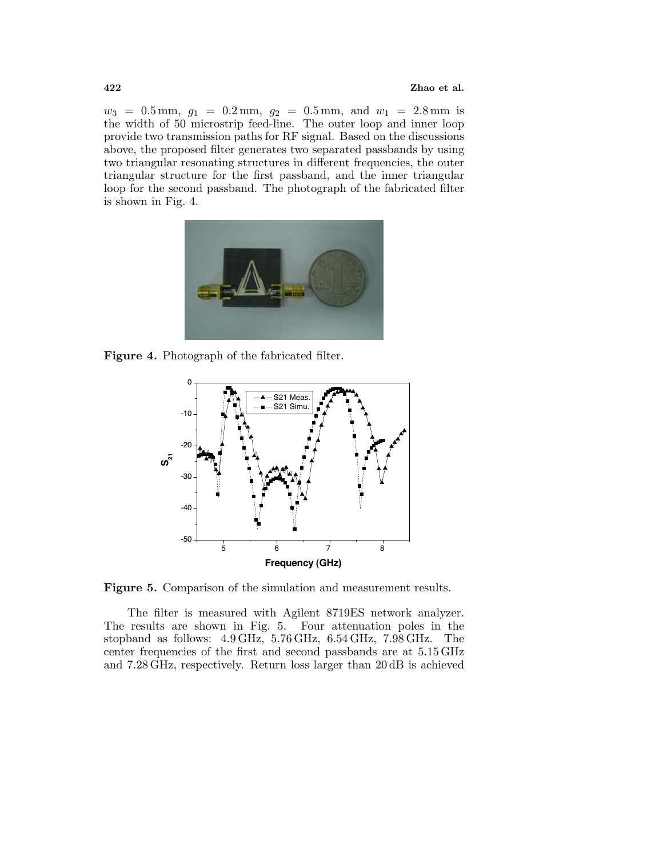$w_3 = 0.5$  mm,  $g_1 = 0.2$  mm,  $g_2 = 0.5$  mm, and  $w_1 = 2.8$  mm is the width of 50microstrip feed-line. The outer loop and inner loop provide two transmission paths for RF signal. Based on the discussions above, the proposed filter generates two separated passbands by using two triangular resonating structures in different frequencies, the outer triangular structure for the first passband, and the inner triangular loop for the second passband. The photograph of the fabricated filter is shown in Fig. 4.



**Figure 4.** Photograph of the fabricated filter.



**Figure 5.** Comparison of the simulation and measurement results.

The filter is measured with Agilent 8719ES network analyzer. The results are shown in Fig. 5. Four attenuation poles in the stopband as follows: 4.9 GHz, 5.76 GHz, 6.54 GHz, 7.98 GHz. The center frequencies of the first and second passbands are at 5.15 GHz and 7.28 GHz, respectively. Return loss larger than 20dB is achieved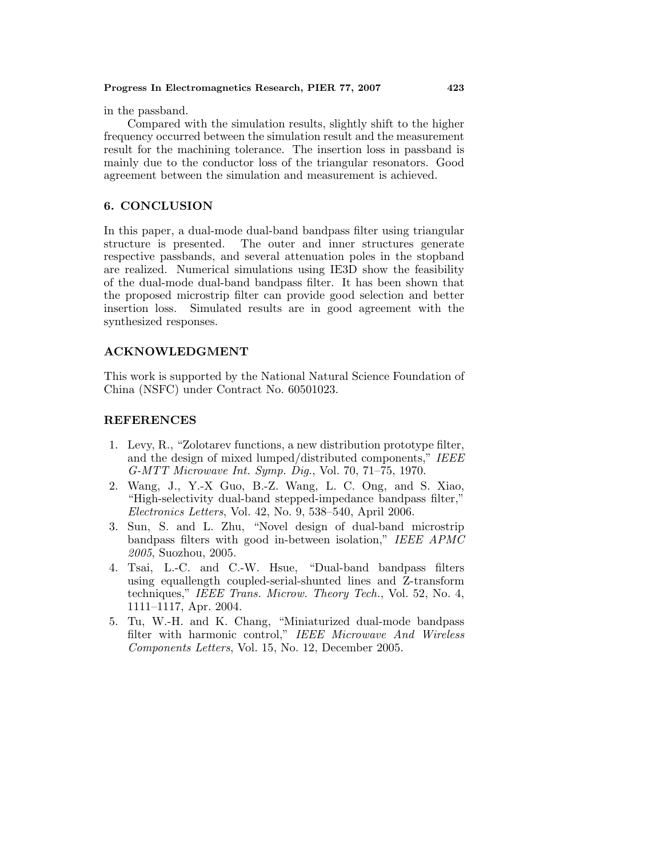in the passband.

Compared with the simulation results, slightly shift to the higher frequency occurred between the simulation result and the measurement result for the machining tolerance. The insertion loss in passband is mainly due to the conductor loss of the triangular resonators. Good agreement between the simulation and measurement is achieved.

## **6. CONCLUSION**

In this paper, a dual-mode dual-band bandpass filter using triangular structure is presented. The outer and inner structures generate respective passbands, and several attenuation poles in the stopband are realized. Numerical simulations using IE3D show the feasibility of the dual-mode dual-band bandpass filter. It has been shown that the proposed microstrip filter can provide good selection and better insertion loss. Simulated results are in good agreement with the synthesized responses.

## **ACKNOWLEDGMENT**

This work is supported by the National Natural Science Foundation of China (NSFC) under Contract No. 60501023.

## **REFERENCES**

- 1. Levy, R., "Zolotarev functions, a new distribution prototype filter, and the design of mixed lumped/distributed components," IEEE G-MTT Microwave Int. Symp. Dig., Vol. 70, 71–75, 1970.
- 2. Wang, J., Y.-X Guo, B.-Z. Wang, L. C. Ong, and S. Xiao, "High-selectivity dual-band stepped-impedance bandpass filter," Electronics Letters, Vol. 42, No. 9, 538–540, April 2006.
- 3. Sun, S. and L. Zhu, "Novel design of dual-band microstrip bandpass filters with good in-between isolation," IEEE APMC 2005, Suozhou, 2005.
- 4. Tsai, L.-C. and C.-W. Hsue, "Dual-band bandpass filters using equallength coupled-serial-shunted lines and Z-transform techniques," IEEE Trans. Microw. Theory Tech., Vol. 52, No. 4, 1111–1117, Apr. 2004.
- 5. Tu, W.-H. and K. Chang, "Miniaturized dual-mode bandpass filter with harmonic control," IEEE Microwave And Wireless Components Letters, Vol. 15, No. 12, December 2005.